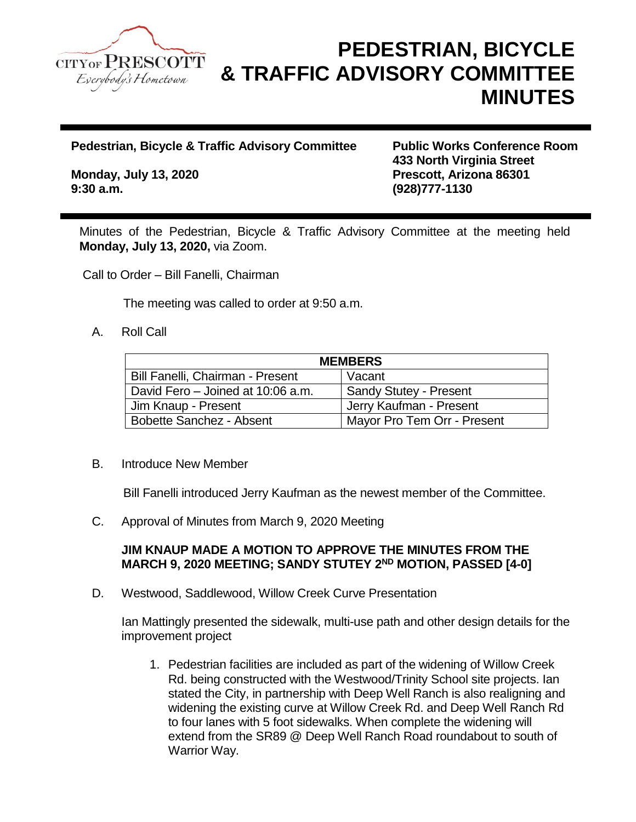

## **PEDESTRIAN, BICYCLE & TRAFFIC ADVISORY COMMITTEE MINUTES**

**Pedestrian, Bicycle & Traffic Advisory Committee Public Works Conference Room**

**9:30 a.m. (928)777-1130**

**433 North Virginia Street Monday, July 13, 2020 Prescott, Arizona 86301**

Minutes of the Pedestrian, Bicycle & Traffic Advisory Committee at the meeting held **Monday, July 13, 2020,** via Zoom.

Call to Order – Bill Fanelli, Chairman

The meeting was called to order at 9:50 a.m.

## A. Roll Call

| <b>MEMBERS</b>                    |                               |
|-----------------------------------|-------------------------------|
| Bill Fanelli, Chairman - Present  | Vacant                        |
| David Fero - Joined at 10:06 a.m. | <b>Sandy Stutey - Present</b> |
| Jim Knaup - Present               | Jerry Kaufman - Present       |
| Bobette Sanchez - Absent          | Mayor Pro Tem Orr - Present   |

## B. Introduce New Member

Bill Fanelli introduced Jerry Kaufman as the newest member of the Committee.

C. Approval of Minutes from March 9, 2020 Meeting

## **JIM KNAUP MADE A MOTION TO APPROVE THE MINUTES FROM THE MARCH 9, 2020 MEETING; SANDY STUTEY 2ND MOTION, PASSED [4-0]**

D. Westwood, Saddlewood, Willow Creek Curve Presentation

Ian Mattingly presented the sidewalk, multi-use path and other design details for the improvement project

1. Pedestrian facilities are included as part of the widening of Willow Creek Rd. being constructed with the Westwood/Trinity School site projects. Ian stated the City, in partnership with Deep Well Ranch is also realigning and widening the existing curve at Willow Creek Rd. and Deep Well Ranch Rd to four lanes with 5 foot sidewalks. When complete the widening will extend from the SR89 @ Deep Well Ranch Road roundabout to south of Warrior Way.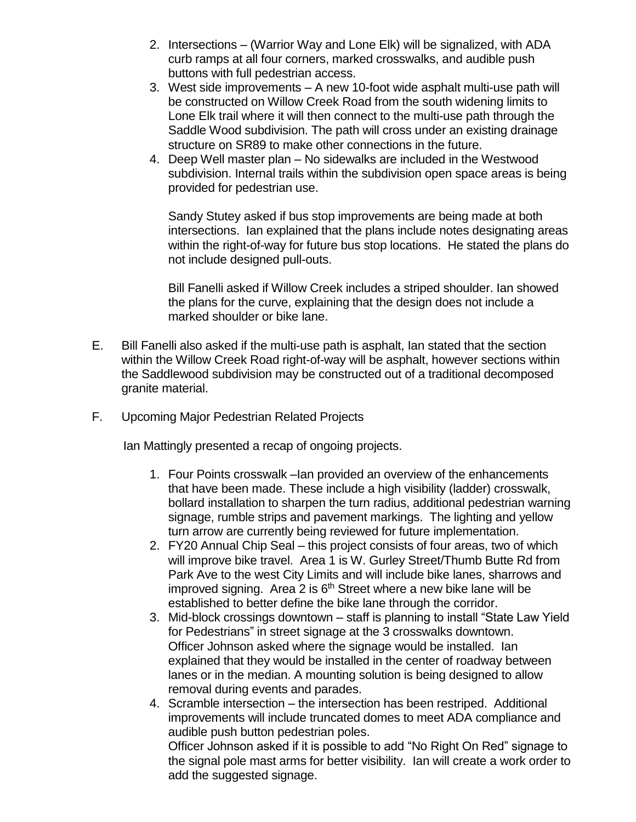- 2. Intersections (Warrior Way and Lone Elk) will be signalized, with ADA curb ramps at all four corners, marked crosswalks, and audible push buttons with full pedestrian access.
- 3. West side improvements A new 10-foot wide asphalt multi-use path will be constructed on Willow Creek Road from the south widening limits to Lone Elk trail where it will then connect to the multi-use path through the Saddle Wood subdivision. The path will cross under an existing drainage structure on SR89 to make other connections in the future.
- 4. Deep Well master plan No sidewalks are included in the Westwood subdivision. Internal trails within the subdivision open space areas is being provided for pedestrian use.

Sandy Stutey asked if bus stop improvements are being made at both intersections. Ian explained that the plans include notes designating areas within the right-of-way for future bus stop locations. He stated the plans do not include designed pull-outs.

Bill Fanelli asked if Willow Creek includes a striped shoulder. Ian showed the plans for the curve, explaining that the design does not include a marked shoulder or bike lane.

- E. Bill Fanelli also asked if the multi-use path is asphalt, Ian stated that the section within the Willow Creek Road right-of-way will be asphalt, however sections within the Saddlewood subdivision may be constructed out of a traditional decomposed granite material.
- F. Upcoming Major Pedestrian Related Projects

Ian Mattingly presented a recap of ongoing projects.

- 1. Four Points crosswalk –Ian provided an overview of the enhancements that have been made. These include a high visibility (ladder) crosswalk, bollard installation to sharpen the turn radius, additional pedestrian warning signage, rumble strips and pavement markings. The lighting and yellow turn arrow are currently being reviewed for future implementation.
- 2. FY20 Annual Chip Seal this project consists of four areas, two of which will improve bike travel. Area 1 is W. Gurley Street/Thumb Butte Rd from Park Ave to the west City Limits and will include bike lanes, sharrows and improved signing. Area 2 is  $6<sup>th</sup>$  Street where a new bike lane will be established to better define the bike lane through the corridor.
- 3. Mid-block crossings downtown staff is planning to install "State Law Yield for Pedestrians" in street signage at the 3 crosswalks downtown. Officer Johnson asked where the signage would be installed. Ian explained that they would be installed in the center of roadway between lanes or in the median. A mounting solution is being designed to allow removal during events and parades.
- 4. Scramble intersection the intersection has been restriped. Additional improvements will include truncated domes to meet ADA compliance and audible push button pedestrian poles.

Officer Johnson asked if it is possible to add "No Right On Red" signage to the signal pole mast arms for better visibility. Ian will create a work order to add the suggested signage.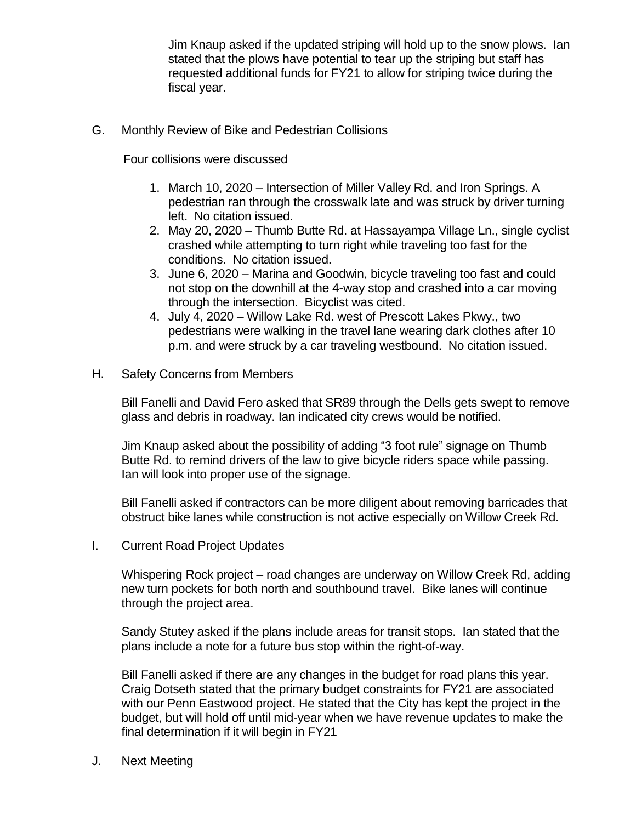Jim Knaup asked if the updated striping will hold up to the snow plows. Ian stated that the plows have potential to tear up the striping but staff has requested additional funds for FY21 to allow for striping twice during the fiscal year.

G. Monthly Review of Bike and Pedestrian Collisions

Four collisions were discussed

- 1. March 10, 2020 Intersection of Miller Valley Rd. and Iron Springs. A pedestrian ran through the crosswalk late and was struck by driver turning left. No citation issued.
- 2. May 20, 2020 Thumb Butte Rd. at Hassayampa Village Ln., single cyclist crashed while attempting to turn right while traveling too fast for the conditions. No citation issued.
- 3. June 6, 2020 Marina and Goodwin, bicycle traveling too fast and could not stop on the downhill at the 4-way stop and crashed into a car moving through the intersection. Bicyclist was cited.
- 4. July 4, 2020 Willow Lake Rd. west of Prescott Lakes Pkwy., two pedestrians were walking in the travel lane wearing dark clothes after 10 p.m. and were struck by a car traveling westbound. No citation issued.
- H. Safety Concerns from Members

Bill Fanelli and David Fero asked that SR89 through the Dells gets swept to remove glass and debris in roadway. Ian indicated city crews would be notified.

Jim Knaup asked about the possibility of adding "3 foot rule" signage on Thumb Butte Rd. to remind drivers of the law to give bicycle riders space while passing. Ian will look into proper use of the signage.

Bill Fanelli asked if contractors can be more diligent about removing barricades that obstruct bike lanes while construction is not active especially on Willow Creek Rd.

I. Current Road Project Updates

Whispering Rock project – road changes are underway on Willow Creek Rd, adding new turn pockets for both north and southbound travel. Bike lanes will continue through the project area.

Sandy Stutey asked if the plans include areas for transit stops. Ian stated that the plans include a note for a future bus stop within the right-of-way.

Bill Fanelli asked if there are any changes in the budget for road plans this year. Craig Dotseth stated that the primary budget constraints for FY21 are associated with our Penn Eastwood project. He stated that the City has kept the project in the budget, but will hold off until mid-year when we have revenue updates to make the final determination if it will begin in FY21

J. Next Meeting